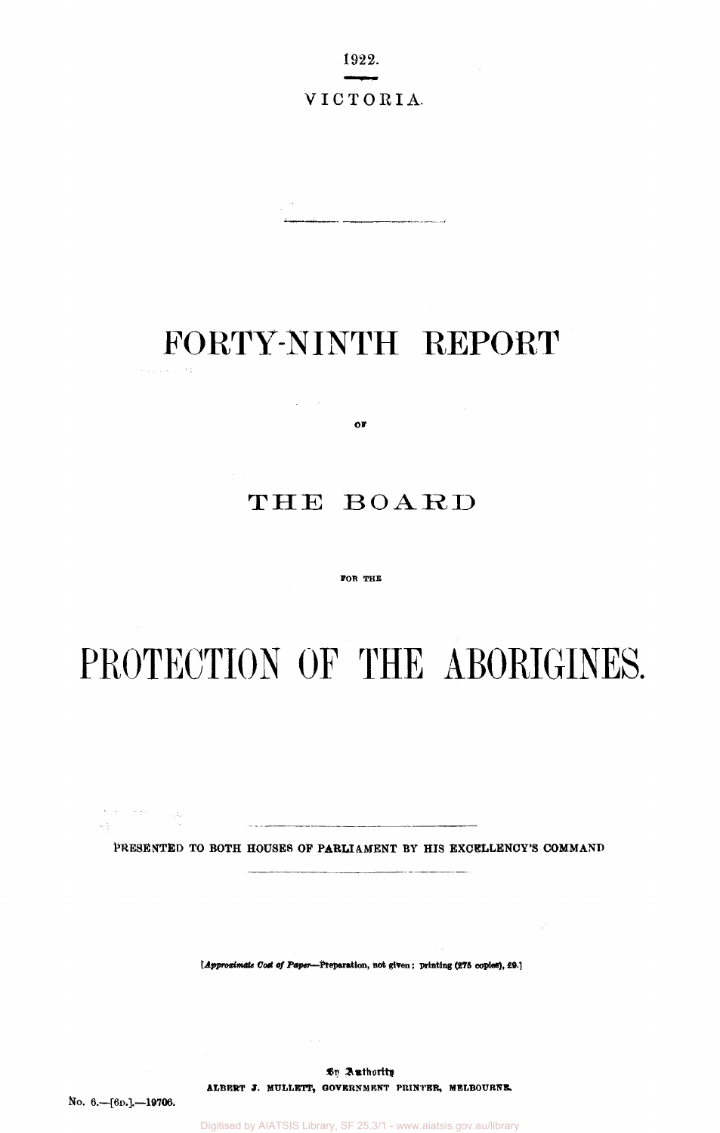1922.

## VICTORIA.

# FORTY-NINTH REPORT

**OF** 

 $\Delta \sim 10^{-4}$ 

# THE BOARD

#### **FOR THE**

# PROTECTION OF THE ABORIGINES.

**PRESENTED TO BOTH HOUSES OP PARLIAMENT BY HIS EXCELLENCY'S COMMAND** 

*[Approximate Cost of Paper***—Preparation, not given; printing (275 copies), £9.]** 

By Authority: **ALBERT J. MULLET, GOVERNMENT PRINTER, MELBOURNE.** 

**No. 6.—[6D.].—19706,** 

 $\label{eq:1} \mathcal{O}(\lambda) = \mathcal{O}(\lambda) \quad \text{and} \quad \mathcal{O}(\lambda)$ 

 $\omega_1 \gamma$  .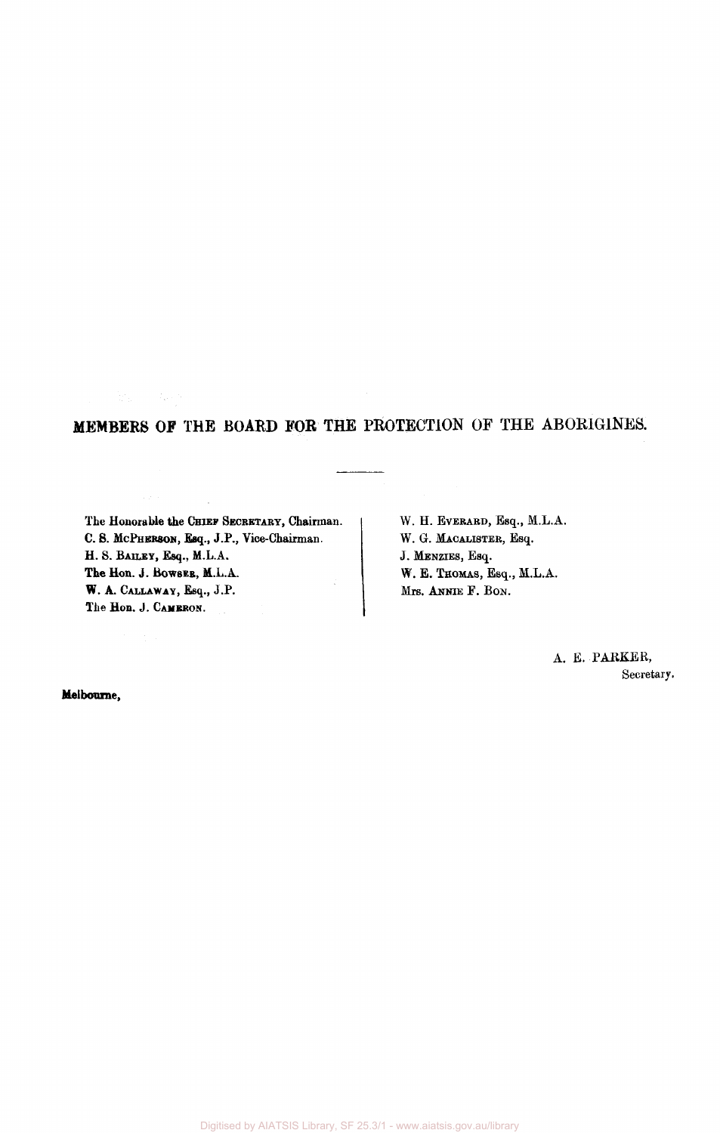# **MEMBERS OF** THE **BOARD FOR** THE PROTECTION OF THE ABORIGINES.

The Honorable the CHIEF SECRETARY, Chairman. C S. MCPHERSON, Esq., J.P., Vice-Chairman. H. S. BAILEY, Esq., M.L.A. The Hon. J. BOWSES, M.L.A. W. A. CALLAWAY, Esq., J.P. The Hon. J. CAMERON.

新。 (1)

W. H. EVERARD, Esq., M.L.A. W. G. MACALISTER, Esq. J. MENZIES, Esq. W. E. THOMAS, Esq., M.L.A. Mrs. ANNIE F. BON.

> A. E. PARKER, Secretary.

Melbourne,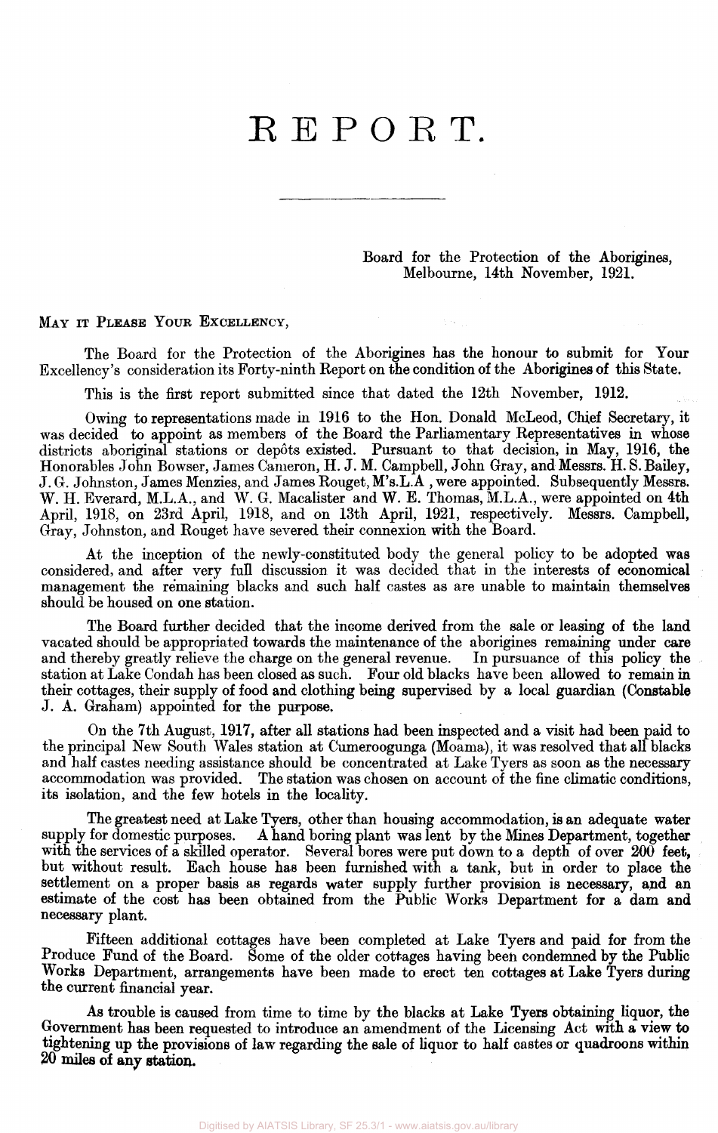# REPORT.

Board for the Protection of the Aborigines, Melbourne, 14th November, 1921.

MAY IT PLEASE YOUR EXCELLENCY,

The Board for the Protection of the Aborigines has the honour to submit for Your Excellency's consideration its Forty-ninth Report on the condition of the Aborigines of this State.

This is the first report submitted since that dated the 12th November, 1912.

Owing to representations made in 1916 to the Hon. Donald McLeod, Chief Secretary, it was decided to appoint as members of the Board the Parliamentary Representatives in whose districts aboriginal stations or depots existed. Pursuant to that decision, in May, 1916, the Honorables John Bowser, James Cameron, H. J. M. Campbell, John Gray, and Messrs. H. S. Bailey, J. G. Johnston, James Menzies, and James Rouget, M's.LA , were appointed. Subsequently Messrs. W. H. Everard, M.L.A., and W. G. Macalister and W. E. Thomas, M.L.A., were appointed on 4th April, 1918, on 23rd April, 1918, and on 13th April, 1921, respectively. Messrs. Campbell, Gray, Johnston, and Rouget have severed their connexion with the Board.

At the inception of the newly-constituted body the general policy to be adopted was considered, and after very full discussion it was decided that in the interests of economical management the remaining blacks and such half castes as are unable to maintain themselves should be housed on one station.

The Board further decided that the income derived from the sale or leasing of the land vacated should be appropriated towards the maintenance of the aborigines remaining under care<br>and thereby greatly relieve the charge on the general revenue. In pursuance of this policy the and thereby greatly relieve the charge on the general revenue. station at Lake Condah has been closed as such. Four old blacks have been allowed to remain in their cottages, their supply of food and clothing being supervised by a local guardian (Constable J. A. Graham) appointed for the purpose.

On the 7th August, 1917, after all stations had been inspected and a visit had been paid to the principal New South Wales station at Cumeroogunga (Moama), it was resolved that all blacks and half castes needing assistance should be concentrated at Lake Tyers as soon as the necessary accommodation was provided. The station was chosen on account of the fine climatic conditions, its isolation, and the few hotels in the locality.

The greatest need at Lake Tyers, other than housing accommodation, is an adequate water<br>supply for domestic purposes. A hand boring plant was lent by the Mines Department, together A hand boring plant was lent by the Mines Department, together with the services of a skilled operator. Several bores were put down to a depth of over 200 feet, but without result. Each house has been furnished with a tank, but in order to place the settlement on a proper basis as regards water supply further provision is necessary, and an estimate of the cost has been obtained from the Public Works Department for a dam and necessary plant.

Fifteen additional cottages have been completed at Lake Tyers and paid for from the Produce Fund of the Board. Some of the older cottages having been condemned by the Public Works Department, arrangements have been made to erect ten cottages at Lake Tyers during the current financial year.

As trouble is caused from time to time by the blacks at Lake Tyers obtaining liquor, the Government has been requested to introduce an amendment of the Licensing Act with **a** view to tightening up the provisions of law regarding the sale of liquor to half castes or quadroons within 20 **miles of any station.**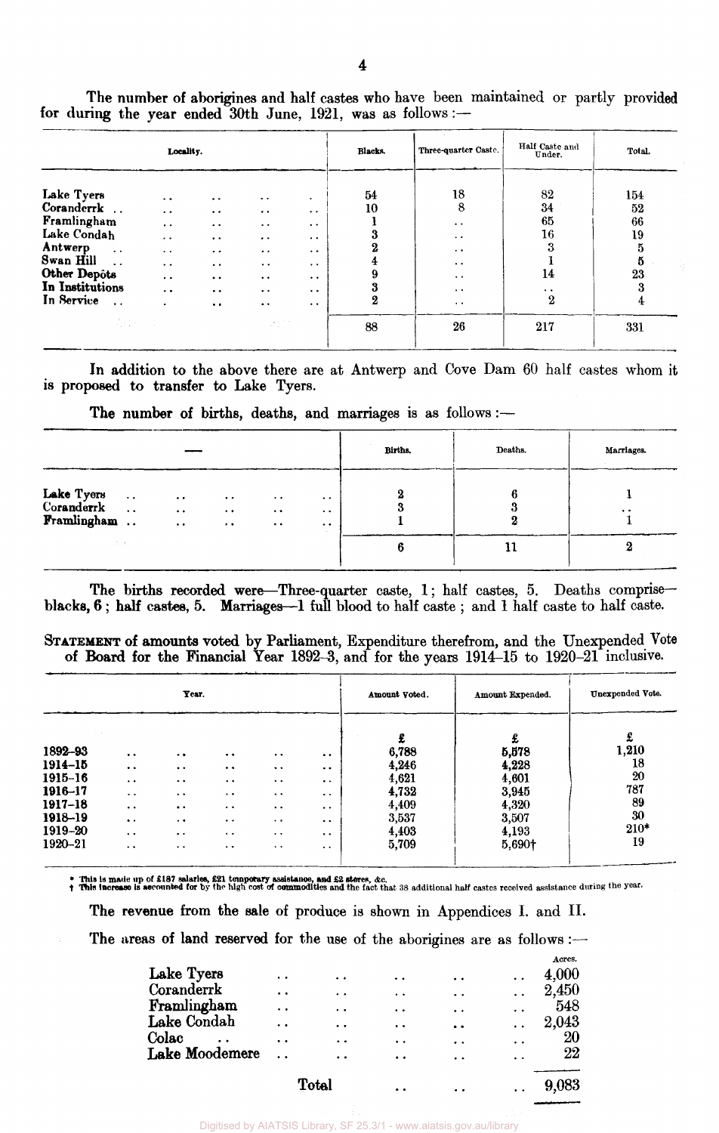|                                                                                                                                                                                    | Locality.                                                                                                                                                               |                                                                                                                                                                                                                       |                                                                                                                                                                                                             |                                                                                                                                                              | Blacks.                                       | Three-quarter Caste.                                                                                                                 | Half Caste and<br>Under.                                                                                | Total.                                                        |
|------------------------------------------------------------------------------------------------------------------------------------------------------------------------------------|-------------------------------------------------------------------------------------------------------------------------------------------------------------------------|-----------------------------------------------------------------------------------------------------------------------------------------------------------------------------------------------------------------------|-------------------------------------------------------------------------------------------------------------------------------------------------------------------------------------------------------------|--------------------------------------------------------------------------------------------------------------------------------------------------------------|-----------------------------------------------|--------------------------------------------------------------------------------------------------------------------------------------|---------------------------------------------------------------------------------------------------------|---------------------------------------------------------------|
| Lake Tyers<br>Coranderrk<br>Framlingham<br>Lake Condah<br>Antwerp<br>$\ddot{\phantom{a}}$ .<br>Swan Hill<br>Other Depôts<br>In Institutions<br>In Service<br>$\dddot{\phantom{0}}$ | $\sim$ $\sim$<br>$\ddotsc$<br>$\sim$ $\sim$<br>$\ddot{\phantom{1}}$<br>$\ddot{\phantom{1}}$<br>$\ddot{\phantom{1}}$<br>$\bullet$ $\bullet$<br>$\ddot{\phantom{0}}$<br>٠ | $\ddot{\phantom{1}}$<br>$\bullet$ $\bullet$<br>$\sim$ $\sim$<br>$\bullet$ .<br>$\bullet\hspace{0.4mm}\bullet\hspace{0.4mm}$<br>$\bullet$ $\bullet$<br>$\ddot{\phantom{1}}$<br>$\cdot$ $\cdot$<br>$\ddot{\phantom{0}}$ | $\ddot{\phantom{0}}$<br>$\cdot$ .<br>$\ddot{\phantom{1}}$<br>$\cdot$ .<br>$\bullet\hspace{0.4mm}\bullet\hspace{0.4mm}$<br>$\ddot{\phantom{0}}$<br>$\ddot{\phantom{1}}$<br>$\cdot$ .<br>$\ddot{\phantom{1}}$ | $\bullet$<br>$\ddot{\phantom{a}}$<br>$\ddot{\phantom{1}}$<br>$\cdot$ $\cdot$<br>$\cdots$<br>$\cdot$ $\cdot$<br>$\bullet$ $\bullet$<br>$\cdot$ .<br>$\cdot$ . | 54<br>10<br>3<br>2<br>4<br>9<br>3<br>$\bf{2}$ | 18<br>8<br>$\sim$ $\sim$<br>$\cdot$ $\cdot$<br>$\ddot{\phantom{1}}$<br>$\bullet$ $\bullet$<br>$\bullet$<br>$\cdots$<br>$\sim$ $\sim$ | 82<br>34<br>65<br>$16\,$<br>3<br>14<br>$\bullet\hspace{0.4mm}\bullet\hspace{0.4mm}$<br>$\boldsymbol{2}$ | 154<br>52<br>66<br>19<br>$\bf{5}$<br>$\bf{5}$<br>23<br>3<br>4 |
|                                                                                                                                                                                    | $\label{eq:3.1} \mathcal{A}_1(\xi) = \mathcal{A}_1(\xi) = \mathcal{A}_1(\xi)$                                                                                           |                                                                                                                                                                                                                       | Service.                                                                                                                                                                                                    |                                                                                                                                                              | 88                                            | 26                                                                                                                                   | 217                                                                                                     | 331                                                           |

The number of aborigines and half castes who have been maintained or partly provided for during the year ended 30th June, 1921, was as follows:—

In addition to the above there are at Antwerp and Cove Dam 60 half castes whom it is proposed to transfer to Lake Tyers.

The number of births, deaths, and marriages is as follows :-

|                                         |                                                                                                                                                                                                                                                                 |  |                                                         |   |   | Births.   | Deaths. | Marriages. |
|-----------------------------------------|-----------------------------------------------------------------------------------------------------------------------------------------------------------------------------------------------------------------------------------------------------------------|--|---------------------------------------------------------|---|---|-----------|---------|------------|
| Lake Tyers<br>Coranderrk<br>Framlingham | $\ddot{\phantom{1}}$ .<br>$\ddot{\phantom{0}}$<br>$\bullet$ $\bullet$<br>$\cdot$ .<br>$\ddot{\phantom{a}}$ .<br>$\bullet$ $\bullet$<br>$\cdot$ $\cdot$<br>$\bullet$<br>$\ddot{\phantom{a}}$<br>$\ddot{\phantom{a}}$<br>$\cdot$ .<br>$\bullet$ $\bullet$<br>2000 |  | $\bullet$ $\bullet$<br>$\cdot$ .<br>$\cdot$ .<br>$\sim$ | O | 6 | $\bullet$ |         |            |

The births recorded were—Three-quarter caste, 1; half castes, 5. Deaths comprise blacks, 6 ; half castes, 5. Marriages—1 full blood to half caste ; and 1 half caste to half caste.

|  | STATEMENT of amounts voted by Parliament, Expenditure therefrom, and the Unexpended Vote |  |
|--|------------------------------------------------------------------------------------------|--|
|  | of Board for the Financial Year 1892-3, and for the years 1914-15 to 1920-21 inclusive.  |  |

|         | Year.                |                       |                                                                     |                      |                      | Amount Voted. | Amount Expended. | Unexpended Vote. |
|---------|----------------------|-----------------------|---------------------------------------------------------------------|----------------------|----------------------|---------------|------------------|------------------|
|         |                      |                       |                                                                     |                      |                      | £             | £                | £                |
| 1892-93 | $\ddot{\phantom{1}}$ | $\ddot{\phantom{0}}$  | $\bullet\hspace{0.1cm} \bullet\hspace{0.1cm} \bullet\hspace{0.1cm}$ | $\bullet$ $\bullet$  | $\cdot$ $\cdot$      | 6,788         | 5,578            | 1,210            |
| 1914–15 | $\bullet$ $\bullet$  | $\bullet\ \bullet$    | $\cdot$ .                                                           | $\ddot{\phantom{1}}$ | $\ddot{\phantom{1}}$ | 4,246         | 4,228            | 18               |
| 1915–16 | $\ddot{\phantom{0}}$ | $\ddot{\phantom{1}}$  | $\bullet\quad\bullet$                                               | $\cdot$ .            | $\bullet\bullet$     | 4,621         | 4,601            | 20               |
| 1916-17 | $\ddot{\phantom{0}}$ | $\ddot{\phantom{1}}$  | $\bullet\hspace{0.1cm} \bullet\hspace{0.1cm} \bullet$               | $\ddot{\phantom{1}}$ | $\ddot{\phantom{a}}$ | 4,732         | 3,945            | 787              |
| 1917–18 | $\ddot{\phantom{a}}$ | $\cdot$ $\cdot$       | $\cdot$ .                                                           | $\ddot{\phantom{0}}$ | $\ddot{\phantom{1}}$ | 4,409         | 4,320            | 89               |
| 1918-19 | $\ddot{\phantom{a}}$ | $\sim$ 4              | $\ddot{\phantom{1}}$                                                | $\ddot{\phantom{1}}$ | $\bullet$            | 3,537         | 3,507            | 30               |
| 1919-20 | $\ddot{\phantom{a}}$ | $\bullet\quad\bullet$ | $\bullet$ $\bullet$                                                 | $\cdot$ $\cdot$      | $\ddot{\phantom{1}}$ | 4,403         | 4,193            | $210*$           |
| 1920-21 | $\ddot{\phantom{0}}$ | $\bullet$ . $\bullet$ | $\ddot{\phantom{1}}$                                                | $\cdot$ .            | $\cdot$ $\cdot$      | 5,709         | 5,690†           | 19               |
|         |                      |                       |                                                                     |                      |                      |               |                  |                  |

\* This is made up of £187 salaries, £21 temporary assistance, and £2 stores, &c.<br>† This increase is aecounted for by the high cost of commodities and the fact that 38 additional half castes received assistance during the y

The revenue from the sale of produce is shown in Appendices I. and II.

The areas of land reserved for the use of the aborigines are as follows:-

|                          |                      | Total                | . .                  | $\ddot{\phantom{a}}$ |                      | 9,083  |
|--------------------------|----------------------|----------------------|----------------------|----------------------|----------------------|--------|
| Lake Moodemere           |                      | $\ddot{\phantom{a}}$ | $\ddot{\phantom{a}}$ |                      |                      | 22     |
| Colac                    | $\bullet$            | $\ddot{\phantom{1}}$ | $\bullet$ $\bullet$  | $\ddot{\phantom{1}}$ |                      | 20     |
| Lake Condah              | . .                  | $\bullet$            | $\bullet$            | $\ddot{\phantom{a}}$ |                      | 2,043  |
| Framlingham              | . .                  | . .                  | $\cdot$ $\cdot$      | $\ddot{\phantom{0}}$ | $\ddot{\phantom{0}}$ | 548    |
|                          | $\ddot{\phantom{a}}$ | $\ddot{\bullet}$     | $\ddot{\phantom{a}}$ | $\ddot{\phantom{a}}$ |                      | 2,450  |
| Lake Tyers<br>Coranderrk | $\bullet$            | $\bullet$            | $\ddot{\phantom{a}}$ | $\sim$               |                      | 4,000  |
|                          |                      |                      |                      |                      |                      | Acres. |

Digitised by AIATSIS Library, SF 25.3/1 - www.aiatsis.gov.au/library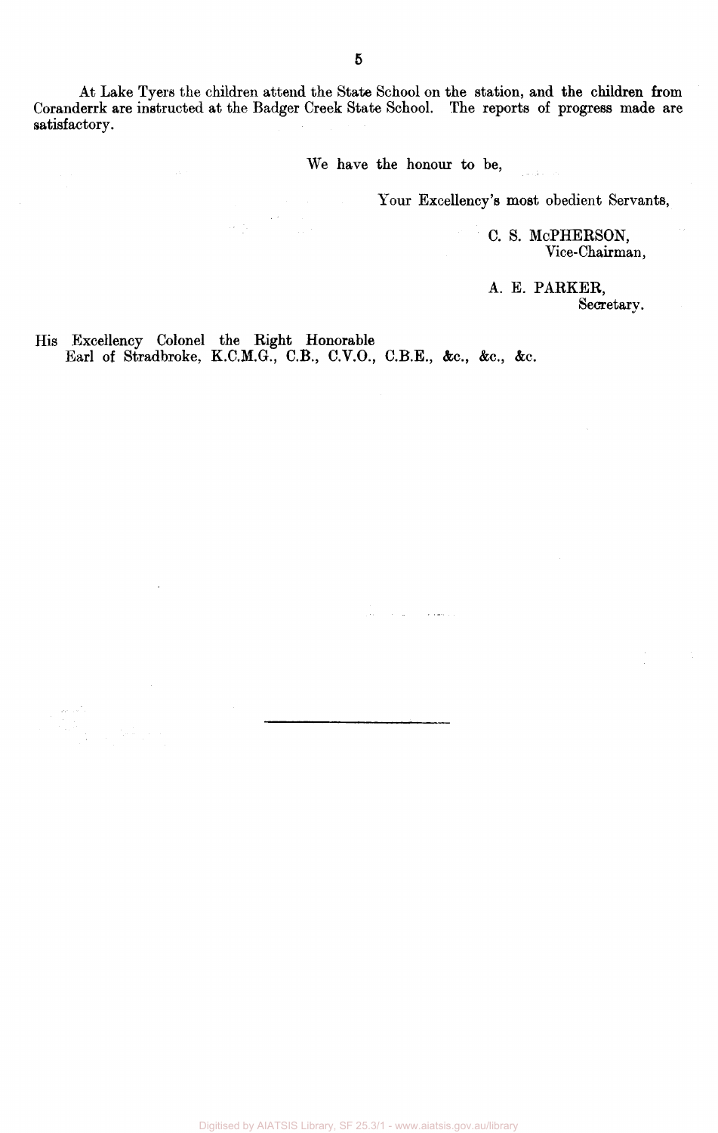At Lake Tyers the children attend the State School on the station, and the children from Coranderrk are instructed at the Badger Creek State School. The reports of progress made are satisfactory.

We have the honour to be,

 $\mathbf{v}$  , and  $\mathbf{v}$ 

 $\sim 10^{-1}$  m

Your Excellency's most obedient Servants,

c. s. MCPHERSON, Vice-Chairman,

A. E. PARKER, Secretary.

His Excellency Colonel the Right Honorable Earl of Stradbroke, K.C.M.G., C.B., C.V.O., C.B.E., &c, &c, &c.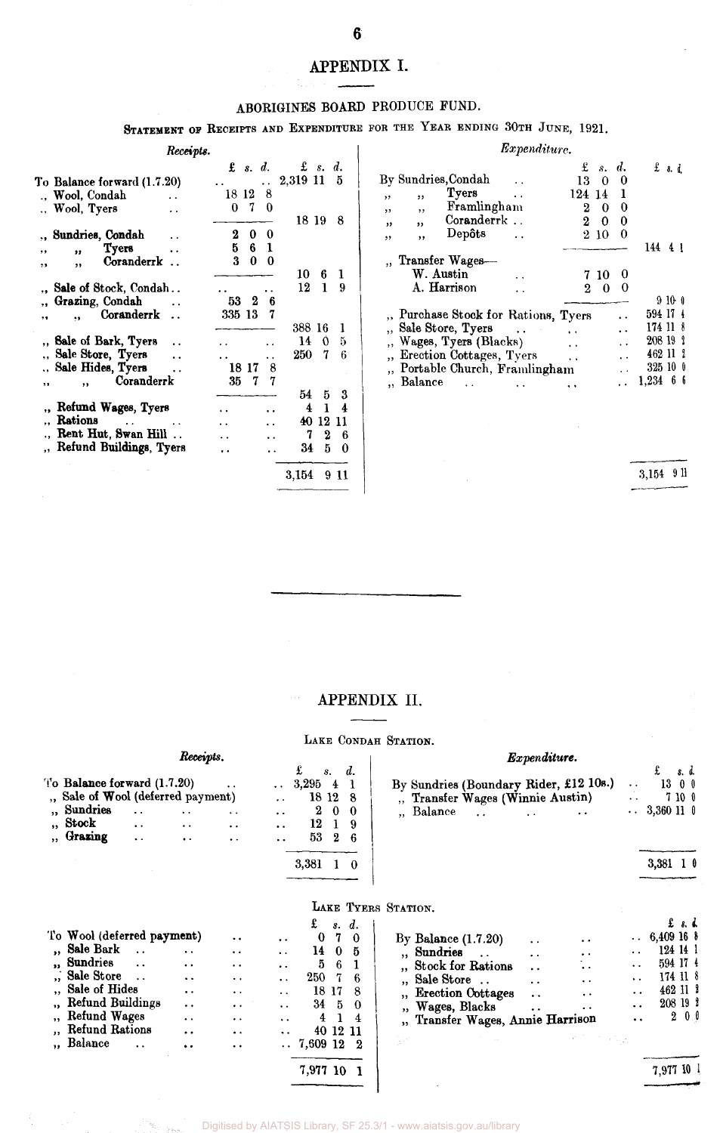## APPENDIX I.

#### ABORIGINES BOARD PRODUCE FUND.

STATEMENT OF RECEIPTS AND EXPENDITURE FOR THE YEAR ENDING 30TH JUNE, 1921.

|    |                                    | Receipts. |         |                   |                      |           |                  |     |
|----|------------------------------------|-----------|---------|-------------------|----------------------|-----------|------------------|-----|
|    |                                    |           |         | $\mathbf{f}$ s.d. |                      | $\&$ s.d. |                  |     |
|    | To Balance forward (1.7.20)        |           |         |                   | $\ddot{\phantom{1}}$ | 2,319 11  |                  | - 5 |
|    | Wool, Condah                       |           | 18 12 8 |                   |                      |           |                  |     |
|    | Wool, Tyers                        | . .       | 0       | - 7               | 0                    |           |                  |     |
|    |                                    |           |         |                   |                      | 18 19     |                  | 8   |
|    | Sundries, Condah                   |           | 2       | 0                 | 0                    |           |                  |     |
| ,, | <b>Tyers</b><br>,,                 |           | 5       | 6                 | 1                    |           |                  |     |
| ,, | Coranderrk<br>,,                   |           | 3       | 0                 | $\bf{0}$             |           |                  |     |
|    |                                    |           |         |                   |                      | 10        | 6                | 1   |
|    | ., Sale of Stock, Condah           |           |         |                   |                      | 12        | 1                | 9   |
|    | Grazing, Condah                    |           | 53      | 2                 | 6                    |           |                  |     |
| ٠, | Coranderrk<br>$\ddot{\phantom{0}}$ |           | 335 13  |                   | 7                    |           |                  |     |
|    |                                    |           |         |                   |                      | 388 16    |                  | 1   |
|    | ., Sale of Bark, Tyers             |           |         |                   |                      | 14        | ∩                | 5   |
|    | Sale Store, Tyers                  |           |         |                   |                      | 250 -     | 7                | 6   |
|    | Sale Hides, Tyers                  |           |         | 18 17             | 8                    |           |                  |     |
| ,, | Coranderrk<br>$, \,$               |           | 35      | 7                 | 7                    |           |                  |     |
|    |                                    |           |         |                   |                      | 54        | 5                | 3   |
|    | ., Refund Wages, Tyers             |           |         |                   |                      | 4         | $\bf{1}$         | 4   |
|    | Rations<br>$\ddot{\phantom{a}}$    |           |         |                   |                      |           | 40 12 11         |     |
|    | Rent Hut, Swan Hill                |           |         |                   |                      | 7         | $\boldsymbol{2}$ | 6   |
|    | Refund Buildings, Tyers            |           |         |                   |                      | 34        | 5                | 0   |
|    |                                    |           |         |                   |                      |           |                  |     |
|    |                                    |           |         |                   |                      | 3.154     | 9                | -11 |

|            |                                                                                                                                                           | Expenditure.         |                             |                      |                      |                                                         |        |         |
|------------|-----------------------------------------------------------------------------------------------------------------------------------------------------------|----------------------|-----------------------------|----------------------|----------------------|---------------------------------------------------------|--------|---------|
|            | By Sundries,Condah                                                                                                                                        |                      | 13                          | $\pounds$ s. d.<br>0 | 0                    | $f$ s. d.                                               |        |         |
| , ,<br>, , | Tyers<br>,,<br>Framlingham<br>, ,                                                                                                                         | $\ddot{\phantom{1}}$ | 124 14<br>2                 | 0                    | ı<br>0               |                                                         |        |         |
| ,,         | Coranderrk<br>,,<br>Depôts                                                                                                                                |                      | $\overline{2}$              | 0<br>2 10            | 0<br>0               |                                                         |        |         |
| ,,         | ,,                                                                                                                                                        |                      |                             |                      |                      | 144                                                     | 4 I    |         |
|            | " Transfer Wages-<br>W. Austin<br>A. Harrison                                                                                                             |                      | 2                           | 7 10<br>-0           | v<br>0               |                                                         |        |         |
|            |                                                                                                                                                           |                      |                             |                      |                      |                                                         | 9 10 O |         |
|            | ", Purchase Stock for Rations, Tyers<br>Sale Store, Tyers<br>Wages, Tyers (Blacks)<br>Erection Cottages, Tyers<br>Portable Church, Framlingham<br>Balance | $\sim$ 100 $\sim$    | $\ddot{\phantom{0}}$<br>. . |                      | $\ddot{\phantom{0}}$ | 594 17<br>174 11<br>208 19<br>462 11<br>325 10<br>1,234 | 6      | 9<br>-6 |

3,154 911

#### APPENDIX II.

#### LAKE CONDAH STATION.

| Receipts.                                                                                                                                                                                                                                                         |                                                                                                                                                                             |                                                                                                                                          |                                                                                                                                                                                  |                                                                                       |                                                    |                                                             | Expenditure.                                                                                                                                                                                                                                                                                                                                                                                                                                                                                                                                                                                                                                |
|-------------------------------------------------------------------------------------------------------------------------------------------------------------------------------------------------------------------------------------------------------------------|-----------------------------------------------------------------------------------------------------------------------------------------------------------------------------|------------------------------------------------------------------------------------------------------------------------------------------|----------------------------------------------------------------------------------------------------------------------------------------------------------------------------------|---------------------------------------------------------------------------------------|----------------------------------------------------|-------------------------------------------------------------|---------------------------------------------------------------------------------------------------------------------------------------------------------------------------------------------------------------------------------------------------------------------------------------------------------------------------------------------------------------------------------------------------------------------------------------------------------------------------------------------------------------------------------------------------------------------------------------------------------------------------------------------|
| To Balance forward $(1.7.20)$<br>" Sale of Wool (deferred payment)<br>" Sundries<br>$\ddot{\phantom{0}}$<br>,, Stock<br>$\ddot{\phantom{1}}$<br>" Grazing<br>$\ddot{\phantom{1}}$                                                                                 | $\ddot{\phantom{1}}$<br>$\ddot{\phantom{1}}$                                                                                                                                | $\bullet$ $\bullet$<br>$\ddot{\phantom{a}}$<br>$\ddot{\phantom{0}}$                                                                      | $\bullet$ $\bullet$ $\bullet$<br>$\ddot{\phantom{a}}$<br>$\ddot{\phantom{a}}$<br>$\ddot{\phantom{1}}$<br>$\ddot{\phantom{0}}$                                                    | £<br>3,295<br>18 12 8<br>2<br>12<br>53<br>3,381 1 0                                   | $s$ .<br>$\overline{4}$<br>$\bf{0}$<br>1<br>2      | d.<br>$\bf{0}$<br>-9<br>6                                   | £<br>s. d.<br>By Sundries (Boundary Rider, £12 10s.)<br>1300<br>$\ddot{\phantom{0}}$<br>., Transfer Wages (Winnie Austin)<br>7100<br>$\sim$ $\sim$<br>$\therefore$ 3,360 11 0<br>" Balance<br>$\ddot{\phantom{a}}$<br>3,381 1 $0$                                                                                                                                                                                                                                                                                                                                                                                                           |
| To Wool (deferred payment)<br>" Sale Bark<br>$\sim$ $\sim$<br>"Sundries<br>$\ddot{\phantom{a}}$<br><b>Sale Store</b><br>$\ddot{\phantom{a}}$ .<br>Sale of Hides<br>Refund Buildings<br><b>Refund Wages</b><br>Refund Rations<br>" Balance<br>$\ddot{\phantom{a}}$ | $\ddot{\phantom{1}}$<br>$\ddot{\phantom{1}}$<br>$\ddot{\phantom{1}}$<br>$\ddot{\phantom{1}}$<br>$\ddot{\phantom{1}}$<br>. .<br>$\ddot{\phantom{a}}$<br>$\ddot{\phantom{1}}$ | $\ddot{\phantom{0}}$<br>$\ddot{\phantom{1}}$<br>$\bullet$ $\bullet$<br>. .<br>$\ddot{\phantom{0}}$<br>$\ddot{\phantom{0}}$<br>. .<br>. . | $\ddot{\phantom{a}}$<br>$\ddot{\phantom{0}}$<br>$\ddot{\phantom{a}}$<br>$\ddot{\phantom{a}}$<br>$\ddot{\phantom{a}}$<br>$\ddot{\phantom{a}}$<br>$\bullet$ $\bullet$<br>$\ddotsc$ | £<br>$\bf{0}$<br>14<br>5<br>250<br>18 17<br>$34\quad 5$<br>$\overline{4}$<br>7,609 12 | s. d.<br>7<br>$\bf{0}$<br>-6<br>7<br>1<br>40 12 11 | $\bf{0}$<br>-5<br>$\mathbf{1}$<br>8<br>$\theta$<br>4<br>- 2 | LAKE TYERS STATION.<br>$\mathbf{f}$ $\mathbf{s}$ , $\mathbf{d}$ ,<br>$\therefore$ 6,409 16 8<br>By Balance $(1.7.20)$<br>$\ddot{\phantom{a}}$<br>. .<br>124 14 1<br>" Sundries<br>$\ddot{\phantom{a}}$<br>$\ddot{\phantom{1}}$<br>. .<br>594 17 4<br>"Stock for Rations<br>٠.<br>$\ddot{\phantom{1}}$<br>$\cdot$<br>174 11 8<br>Sale Store<br>$\ddot{\phantom{a}}$<br>$\ddot{\phantom{1}}$<br>$\ddot{\phantom{0}}$<br>462 11 2<br><b>Erection Cottages</b><br>. .<br>$\ddot{\phantom{1}}$<br>$\ddot{\phantom{0}}$<br>208 19 1<br>" Wages, Blacks<br>. .<br>$\cdot$<br>$2\,0.0$<br>", Transfer Wages, Annie Harrison<br>$\ddot{\phantom{0}}$ |
|                                                                                                                                                                                                                                                                   |                                                                                                                                                                             |                                                                                                                                          |                                                                                                                                                                                  | 7,977 10 1                                                                            |                                                    |                                                             | 7,977 10 1                                                                                                                                                                                                                                                                                                                                                                                                                                                                                                                                                                                                                                  |

7,977 10 1

n.

Digitised by AIATSIS Library, SF 25.3/1 - www.aiatsis.gov.au/library